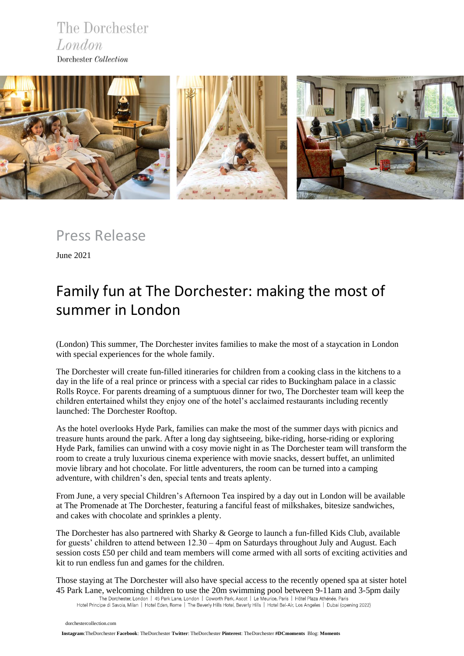The Dorchester London Dorchester Collection



Press Release

June 2021

# Family fun at The Dorchester: making the most of summer in London

(London) This summer, The Dorchester invites families to make the most of a staycation in London with special experiences for the whole family.

The Dorchester will create fun-filled itineraries for children from a cooking class in the kitchens to a day in the life of a real prince or princess with a special car rides to Buckingham palace in a classic Rolls Royce. For parents dreaming of a sumptuous dinner for two, The Dorchester team will keep the children entertained whilst they enjoy one of the hotel's acclaimed restaurants including recently launched: The Dorchester Rooftop.

As the hotel overlooks Hyde Park, families can make the most of the summer days with picnics and treasure hunts around the park. After a long day sightseeing, bike-riding, horse-riding or exploring Hyde Park, families can unwind with a cosy movie night in as The Dorchester team will transform the room to create a truly luxurious cinema experience with movie snacks, dessert buffet, an unlimited movie library and hot chocolate. For little adventurers, the room can be turned into a camping adventure, with children's den, special tents and treats aplenty.

From June, a very special Children's Afternoon Tea inspired by a day out in London will be available at The Promenade at The Dorchester, featuring a fanciful feast of milkshakes, bitesize sandwiches, and cakes with chocolate and sprinkles a plenty.

The Dorchester has also partnered with Sharky & George to launch a fun-filled Kids Club, available for guests' children to attend between 12.30 – 4pm on Saturdays throughout July and August. Each session costs £50 per child and team members will come armed with all sorts of exciting activities and kit to run endless fun and games for the children.

Those staying at The Dorchester will also have special access to the recently opened spa at sister hotel 45 Park Lane, welcoming children to use the 20m swimming pool between 9-11am and 3-5pm daily<br>The Dorchester, London | 45 Park Lane, London | Coworth Park, Ascot | Le Meurice, Paris | Hôtel Plaza Athénée, Paris

Hotel Principe di Savoia, Milan | Hotel Eden, Rome | The Beverly Hills Hotel, Beverly Hills | Hotel Bel-Air, Los Angeles | Dubai (opening 2022)

 [dorchestercollection.com](https://www.instagram.com/thedorchester/)

 **[Ins](https://www.dorchestercollection.com/en/london/the-dorchester/)tagram**:TheDorchester **Facebook**: [TheDorchester](https://www.facebook.com/TheDorchester) **Twitter**: [TheDorchester](https://twitter.com/TheDorchester) **Pinterest**[: TheDorchester](https://www.pinterest.co.uk/thedorchester/_created/) **#DCmoments** Blog: **[Moments](https://www.dorchestercollection.com/en/moments/)**